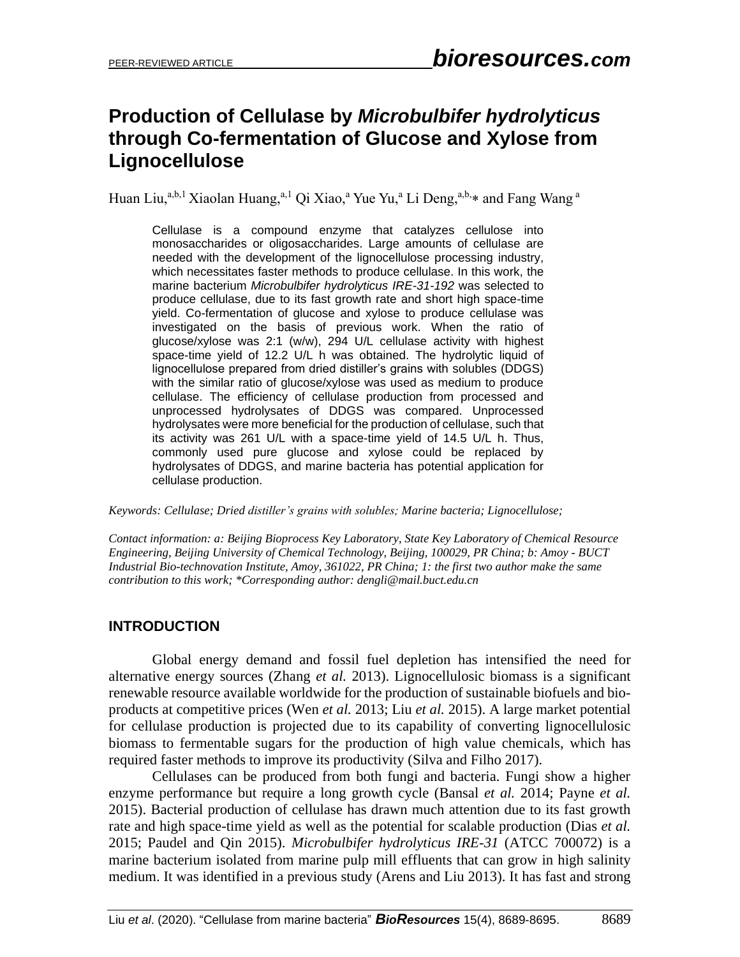# **Production of Cellulase by** *Microbulbifer hydrolyticus* **through Co-fermentation of Glucose and Xylose from Lignocellulose**

Huan Liu,<sup>a,b,1</sup> Xiaolan Huang,<sup>a,1</sup> Qi Xiao,<sup>a</sup> Yue Yu,<sup>a</sup> Li Deng,<sup>a,b,</sup>\* and Fang Wang <sup>a</sup>

Cellulase is a compound enzyme that catalyzes cellulose into monosaccharides or oligosaccharides. Large amounts of cellulase are needed with the development of the lignocellulose processing industry, which necessitates faster methods to produce cellulase. In this work, the marine bacterium *Microbulbifer hydrolyticus IRE-31-192* was selected to produce cellulase, due to its fast growth rate and short high space-time yield. Co-fermentation of glucose and xylose to produce cellulase was investigated on the basis of previous work. When the ratio of glucose/xylose was 2:1 (w/w), 294 U/L cellulase activity with highest space-time yield of 12.2 U/L h was obtained. The hydrolytic liquid of lignocellulose prepared from dried distiller's grains with solubles (DDGS) with the similar ratio of glucose/xylose was used as medium to produce cellulase. The efficiency of cellulase production from processed and unprocessed hydrolysates of DDGS was compared. Unprocessed hydrolysates were more beneficial for the production of cellulase, such that its activity was 261 U/L with a space-time yield of 14.5 U/L h. Thus, commonly used pure glucose and xylose could be replaced by hydrolysates of DDGS, and marine bacteria has potential application for cellulase production.

*Keywords: Cellulase; Dried distiller's grains with solubles; Marine bacteria; Lignocellulose;*

*Contact information: a: Beijing Bioprocess Key Laboratory, State Key Laboratory of Chemical Resource Engineering, Beijing University of Chemical Technology, Beijing, 100029, PR China; b: Amoy - BUCT Industrial Bio-technovation Institute, Amoy, 361022, PR China; 1: the first two author make the same contribution to this work; \*Corresponding author: dengli@mail.buct.edu.cn*

## **INTRODUCTION**

Global energy demand and fossil fuel depletion has intensified the need for alternative energy sources (Zhang *et al.* 2013). Lignocellulosic biomass is a significant renewable resource available worldwide for the production of sustainable biofuels and bioproducts at competitive prices (Wen *et al.* 2013; Liu *et al.* 2015). A large market potential for cellulase production is projected due to its capability of converting lignocellulosic biomass to fermentable sugars for the production of high value chemicals, which has required faster methods to improve its productivity (Silva and Filho 2017).

Cellulases can be produced from both fungi and bacteria. Fungi show a higher enzyme performance but require a long growth cycle (Bansal *et al.* 2014; Payne *et al.* 2015). Bacterial production of cellulase has drawn much attention due to its fast growth rate and high space-time yield as well as the potential for scalable production (Dias *et al.* 2015; Paudel and Qin 2015). *Microbulbifer hydrolyticus IRE-31* (ATCC 700072) is a marine bacterium isolated from marine pulp mill effluents that can grow in high salinity medium. It was identified in a previous study (Arens and Liu 2013). It has fast and strong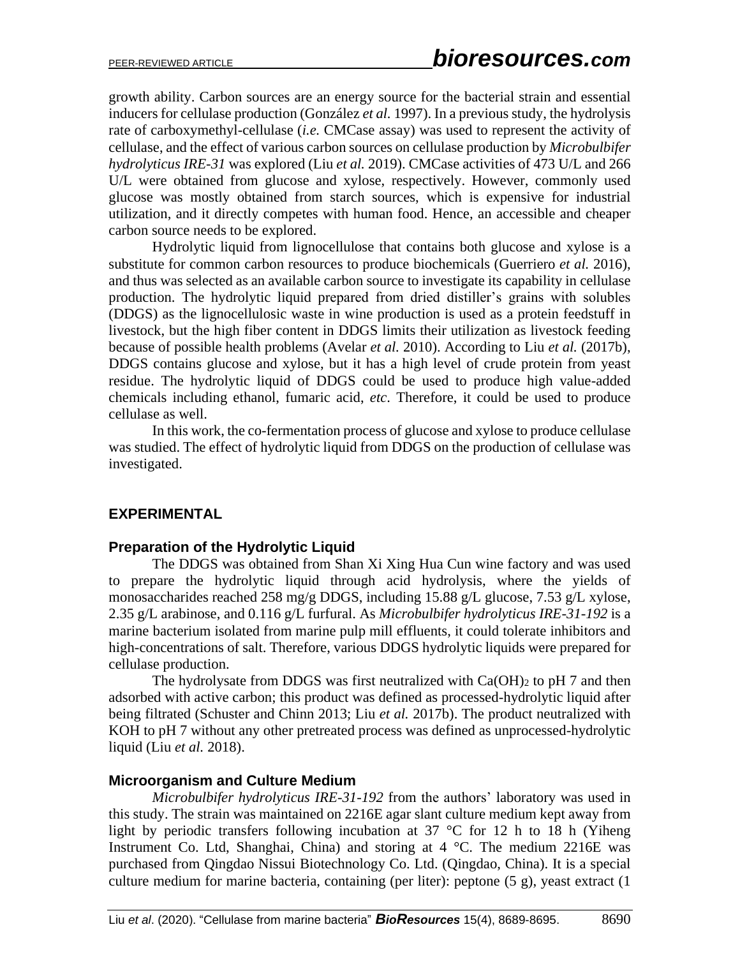growth ability. Carbon sources are an energy source for the bacterial strain and essential inducers for cellulase production (González *et al.* 1997). In a previous study, the hydrolysis rate of carboxymethyl-cellulase (*i.e.* CMCase assay) was used to represent the activity of cellulase, and the effect of various carbon sources on cellulase production by *Microbulbifer hydrolyticus IRE-31* was explored (Liu *et al.* 2019). CMCase activities of 473 U/L and 266 U/L were obtained from glucose and xylose, respectively. However, commonly used glucose was mostly obtained from starch sources, which is expensive for industrial utilization, and it directly competes with human food. Hence, an accessible and cheaper carbon source needs to be explored.

Hydrolytic liquid from lignocellulose that contains both glucose and xylose is a substitute for common carbon resources to produce biochemicals (Guerriero *et al.* 2016), and thus was selected as an available carbon source to investigate its capability in cellulase production. The hydrolytic liquid prepared from dried distiller's grains with solubles (DDGS) as the lignocellulosic waste in wine production is used as a protein feedstuff in livestock, but the high fiber content in DDGS limits their utilization as livestock feeding because of possible health problems (Avelar *et al.* 2010). According to Liu *et al.* (2017b), DDGS contains glucose and xylose, but it has a high level of crude protein from yeast residue. The hydrolytic liquid of DDGS could be used to produce high value-added chemicals including ethanol, fumaric acid, *etc*. Therefore, it could be used to produce cellulase as well.

In this work, the co-fermentation process of glucose and xylose to produce cellulase was studied. The effect of hydrolytic liquid from DDGS on the production of cellulase was investigated.

## **EXPERIMENTAL**

## **Preparation of the Hydrolytic Liquid**

The DDGS was obtained from Shan Xi Xing Hua Cun wine factory and was used to prepare the hydrolytic liquid through acid hydrolysis, where the yields of monosaccharides reached 258 mg/g DDGS, including 15.88 g/L glucose, 7.53 g/L xylose, 2.35 g/L arabinose, and 0.116 g/L furfural. As *Microbulbifer hydrolyticus IRE-31-192* is a marine bacterium isolated from marine pulp mill effluents, it could tolerate inhibitors and high-concentrations of salt. Therefore, various DDGS hydrolytic liquids were prepared for cellulase production.

The hydrolysate from DDGS was first neutralized with  $Ca(OH)$ <sub>2</sub> to pH 7 and then adsorbed with active carbon; this product was defined as processed-hydrolytic liquid after being filtrated (Schuster and Chinn 2013; Liu *et al.* 2017b). The product neutralized with KOH to pH 7 without any other pretreated process was defined as unprocessed-hydrolytic liquid (Liu *et al.* 2018).

## **Microorganism and Culture Medium**

*Microbulbifer hydrolyticus IRE-31-192* from the authors' laboratory was used in this study. The strain was maintained on 2216E agar slant culture medium kept away from light by periodic transfers following incubation at 37 °C for 12 h to 18 h (Yiheng Instrument Co. Ltd, Shanghai, China) and storing at 4 °C. The medium 2216E was purchased from Qingdao Nissui Biotechnology Co. Ltd. (Qingdao, China). It is a special culture medium for marine bacteria, containing (per liter): peptone (5 g), yeast extract (1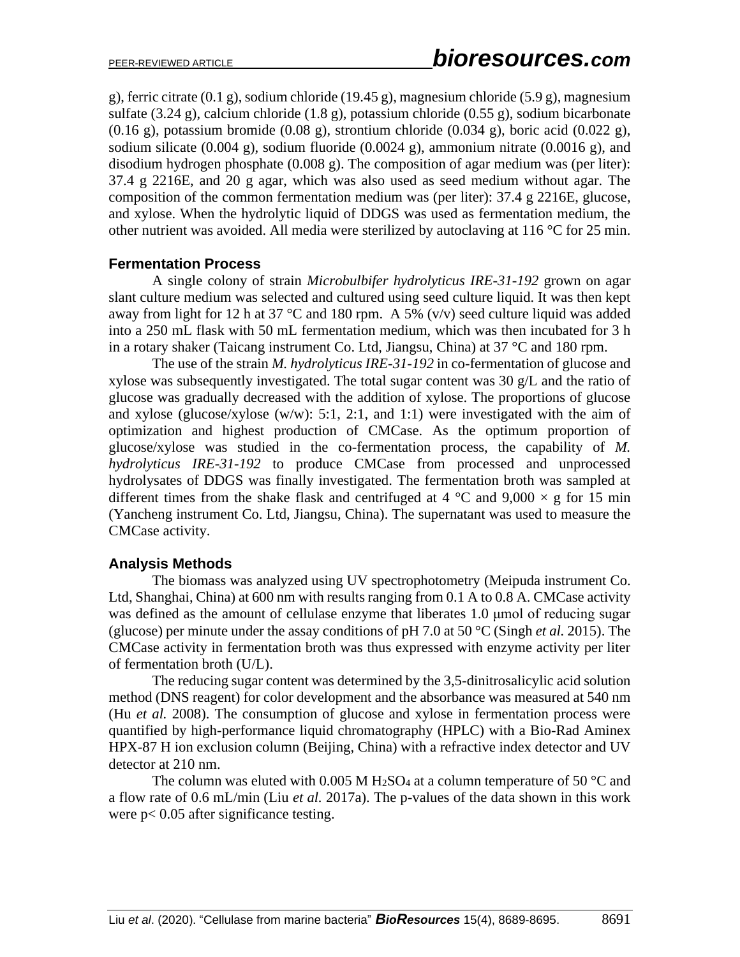g), ferric citrate (0.1 g), sodium chloride (19.45 g), magnesium chloride (5.9 g), magnesium sulfate (3.24 g), calcium chloride (1.8 g), potassium chloride (0.55 g), sodium bicarbonate  $(0.16 \text{ g})$ , potassium bromide  $(0.08 \text{ g})$ , strontium chloride  $(0.034 \text{ g})$ , boric acid  $(0.022 \text{ g})$ , sodium silicate  $(0.004 \text{ g})$ , sodium fluoride  $(0.0024 \text{ g})$ , ammonium nitrate  $(0.0016 \text{ g})$ , and disodium hydrogen phosphate (0.008 g). The composition of agar medium was (per liter): 37.4 g 2216E, and 20 g agar, which was also used as seed medium without agar. The composition of the common fermentation medium was (per liter): 37.4 g 2216E, glucose, and xylose. When the hydrolytic liquid of DDGS was used as fermentation medium, the other nutrient was avoided. All media were sterilized by autoclaving at 116 °C for 25 min.

#### **Fermentation Process**

A single colony of strain *Microbulbifer hydrolyticus IRE-31-192* grown on agar slant culture medium was selected and cultured using seed culture liquid. It was then kept away from light for 12 h at 37 °C and 180 rpm. A 5% (v/v) seed culture liquid was added into a 250 mL flask with 50 mL fermentation medium, which was then incubated for 3 h in a rotary shaker (Taicang instrument Co. Ltd, Jiangsu, China) at 37 °C and 180 rpm.

The use of the strain *M. hydrolyticus IRE-31-192* in co-fermentation of glucose and xylose was subsequently investigated. The total sugar content was 30 g/L and the ratio of glucose was gradually decreased with the addition of xylose. The proportions of glucose and xylose (glucose/xylose (w/w): 5:1, 2:1, and 1:1) were investigated with the aim of optimization and highest production of CMCase. As the optimum proportion of glucose/xylose was studied in the co-fermentation process, the capability of *M. hydrolyticus IRE-31-192* to produce CMCase from processed and unprocessed hydrolysates of DDGS was finally investigated. The fermentation broth was sampled at different times from the shake flask and centrifuged at 4  $\degree$ C and 9,000  $\times$  g for 15 min (Yancheng instrument Co. Ltd, Jiangsu, China). The supernatant was used to measure the CMCase activity.

## **Analysis Methods**

The biomass was analyzed using UV spectrophotometry (Meipuda instrument Co. Ltd, Shanghai, China) at 600 nm with results ranging from 0.1 A to 0.8 A. CMCase activity was defined as the amount of cellulase enzyme that liberates 1.0 μmol of reducing sugar (glucose) per minute under the assay conditions of pH 7.0 at 50 °C (Singh *et al.* 2015). The CMCase activity in fermentation broth was thus expressed with enzyme activity per liter of fermentation broth (U/L).

The reducing sugar content was determined by the 3,5-dinitrosalicylic acid solution method (DNS reagent) for color development and the absorbance was measured at 540 nm (Hu *et al.* 2008). The consumption of glucose and xylose in fermentation process were quantified by high-performance liquid chromatography (HPLC) with a Bio-Rad Aminex HPX-87 H ion exclusion column (Beijing, China) with a refractive index detector and UV detector at 210 nm.

The column was eluted with 0.005 M H<sub>2</sub>SO<sub>4</sub> at a column temperature of 50  $^{\circ}$ C and a flow rate of 0.6 mL/min (Liu *et al.* 2017a). The p-values of the data shown in this work were p< 0.05 after significance testing.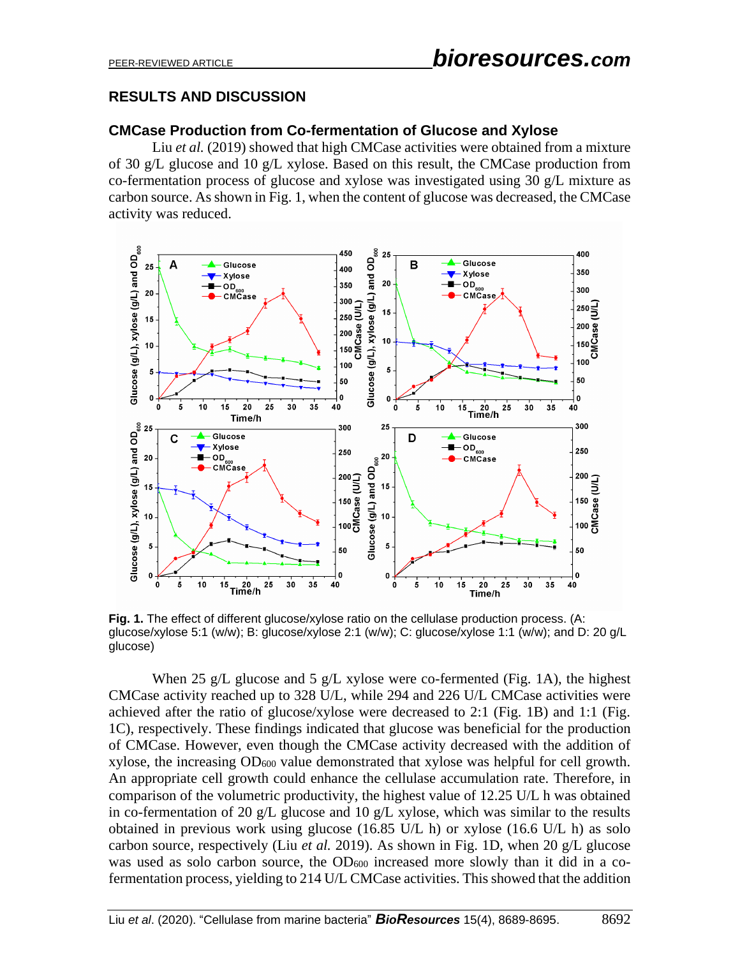## **RESULTS AND DISCUSSION**

## **CMCase Production from Co-fermentation of Glucose and Xylose**

Liu *et al.* (2019) showed that high CMCase activities were obtained from a mixture of 30 g/L glucose and 10 g/L xylose. Based on this result, the CMCase production from co-fermentation process of glucose and xylose was investigated using 30 g/L mixture as carbon source. As shown in Fig. 1, when the content of glucose was decreased, the CMCase activity was reduced.



**Fig. 1.** The effect of different glucose/xylose ratio on the cellulase production process. (A: glucose/xylose 5:1 (w/w); B: glucose/xylose 2:1 (w/w); C: glucose/xylose 1:1 (w/w); and D: 20 g/L glucose)

When 25 g/L glucose and 5 g/L xylose were co-fermented (Fig. 1A), the highest CMCase activity reached up to 328 U/L, while 294 and 226 U/L CMCase activities were achieved after the ratio of glucose/xylose were decreased to 2:1 (Fig. 1B) and 1:1 (Fig. 1C), respectively. These findings indicated that glucose was beneficial for the production of CMCase. However, even though the CMCase activity decreased with the addition of xylose, the increasing OD<sup>600</sup> value demonstrated that xylose was helpful for cell growth. An appropriate cell growth could enhance the cellulase accumulation rate. Therefore, in comparison of the volumetric productivity, the highest value of 12.25 U/L h was obtained in co-fermentation of 20 g/L glucose and 10 g/L xylose, which was similar to the results obtained in previous work using glucose (16.85 U/L h) or xylose (16.6 U/L h) as solo carbon source, respectively (Liu *et al.* 2019). As shown in Fig. 1D, when 20 g/L glucose was used as solo carbon source, the OD<sub>600</sub> increased more slowly than it did in a cofermentation process, yielding to 214 U/L CMCase activities. This showed that the addition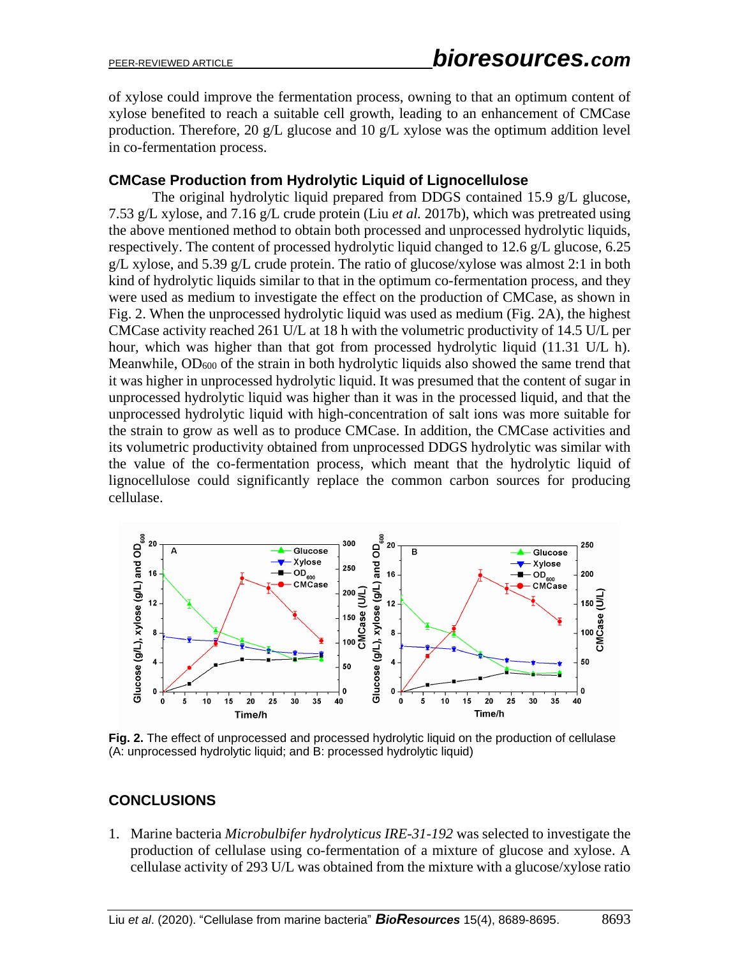of xylose could improve the fermentation process, owning to that an optimum content of xylose benefited to reach a suitable cell growth, leading to an enhancement of CMCase production. Therefore, 20 g/L glucose and 10 g/L xylose was the optimum addition level in co-fermentation process.

## **CMCase Production from Hydrolytic Liquid of Lignocellulose**

The original hydrolytic liquid prepared from DDGS contained 15.9 g/L glucose, 7.53 g/L xylose, and 7.16 g/L crude protein (Liu *et al.* 2017b), which was pretreated using the above mentioned method to obtain both processed and unprocessed hydrolytic liquids, respectively. The content of processed hydrolytic liquid changed to 12.6 g/L glucose, 6.25 g/L xylose, and 5.39 g/L crude protein. The ratio of glucose/xylose was almost 2:1 in both kind of hydrolytic liquids similar to that in the optimum co-fermentation process, and they were used as medium to investigate the effect on the production of CMCase, as shown in Fig. 2. When the unprocessed hydrolytic liquid was used as medium (Fig. 2A), the highest CMCase activity reached 261 U/L at 18 h with the volumetric productivity of 14.5 U/L per hour, which was higher than that got from processed hydrolytic liquid (11.31 U/L h). Meanwhile, OD<sub>600</sub> of the strain in both hydrolytic liquids also showed the same trend that it was higher in unprocessed hydrolytic liquid. It was presumed that the content of sugar in unprocessed hydrolytic liquid was higher than it was in the processed liquid, and that the unprocessed hydrolytic liquid with high-concentration of salt ions was more suitable for the strain to grow as well as to produce CMCase. In addition, the CMCase activities and its volumetric productivity obtained from unprocessed DDGS hydrolytic was similar with the value of the co-fermentation process, which meant that the hydrolytic liquid of lignocellulose could significantly replace the common carbon sources for producing cellulase.



**Fig. 2.** The effect of unprocessed and processed hydrolytic liquid on the production of cellulase (A: unprocessed hydrolytic liquid; and B: processed hydrolytic liquid)

## **CONCLUSIONS**

1. Marine bacteria *Microbulbifer hydrolyticus IRE-31-192* was selected to investigate the production of cellulase using co-fermentation of a mixture of glucose and xylose. A cellulase activity of 293 U/L was obtained from the mixture with a glucose/xylose ratio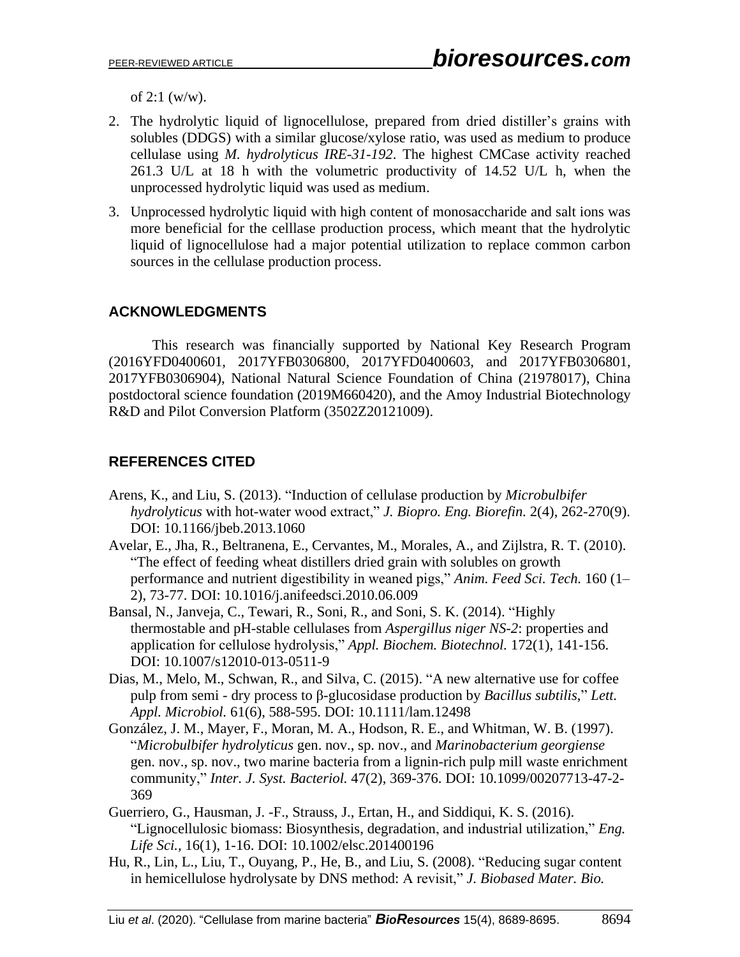of  $2:1$  (w/w).

- 2. The hydrolytic liquid of lignocellulose, prepared from dried distiller's grains with solubles (DDGS) with a similar glucose/xylose ratio, was used as medium to produce cellulase using *M. hydrolyticus IRE-31-192*. The highest CMCase activity reached 261.3 U/L at 18 h with the volumetric productivity of 14.52 U/L h, when the unprocessed hydrolytic liquid was used as medium.
- 3. Unprocessed hydrolytic liquid with high content of monosaccharide and salt ions was more beneficial for the celllase production process, which meant that the hydrolytic liquid of lignocellulose had a major potential utilization to replace common carbon sources in the cellulase production process.

## **ACKNOWLEDGMENTS**

This research was financially supported by National Key Research Program (2016YFD0400601, 2017YFB0306800, 2017YFD0400603, and 2017YFB0306801, 2017YFB0306904), National Natural Science Foundation of China (21978017), China postdoctoral science foundation (2019M660420), and the Amoy Industrial Biotechnology R&D and Pilot Conversion Platform (3502Z20121009).

## **REFERENCES CITED**

- Arens, K., and Liu, S. (2013). "Induction of cellulase production by *Microbulbifer hydrolyticus* with hot-water wood extract," *J. Biopro. Eng. Biorefin.* 2(4), 262-270(9). DOI: [10.1166/jbeb.2013.1060](https://doi.org/10.1166/jbeb.2013.1060)
- Avelar, E., Jha, R., Beltranena, E., Cervantes, M., Morales, A., and Zijlstra, R. T. (2010). "The effect of feeding wheat distillers dried grain with solubles on growth performance and nutrient digestibility in weaned pigs," *Anim. Feed Sci. Tech.* 160 (1– 2), 73-77. DOI: 10.1016/j.anifeedsci.2010.06.009
- Bansal, N., Janveja, C., Tewari, R., Soni, R., and Soni, S. K. (2014). "Highly thermostable and pH-stable cellulases from *Aspergillus niger NS-2*: properties and application for cellulose hydrolysis," *Appl. Biochem. Biotechnol.* 172(1), 141-156. DOI: 10.1007/s12010-013-0511-9
- Dias, M., Melo, M., Schwan, R., and Silva, C. (2015). "A new alternative use for coffee pulp from semi - dry process to β-glucosidase production by *Bacillus subtilis*," *Lett. Appl. Microbiol.* 61(6), 588-595. DOI: 10.1111/lam.12498
- González, J. M., Mayer, F., Moran, M. A., Hodson, R. E., and Whitman, W. B. (1997). "*Microbulbifer hydrolyticus* gen. nov., sp. nov., and *Marinobacterium georgiense* gen. nov., sp. nov., two marine bacteria from a lignin-rich pulp mill waste enrichment community," *Inter. J. Syst. Bacteriol.* 47(2), 369-376. DOI: 10.1099/00207713-47-2- 369
- Guerriero, G., Hausman, J. -F., Strauss, J., Ertan, H., and Siddiqui, K. S. (2016). "Lignocellulosic biomass: Biosynthesis, degradation, and industrial utilization," *Eng. Life Sci.,* 16(1), 1-16. DOI: 10.1002/elsc.201400196
- Hu, R., Lin, L., Liu, T., Ouyang, P., He, B., and Liu, S. (2008). "Reducing sugar content in hemicellulose hydrolysate by DNS method: A revisit," *J. Biobased Mater. Bio.*